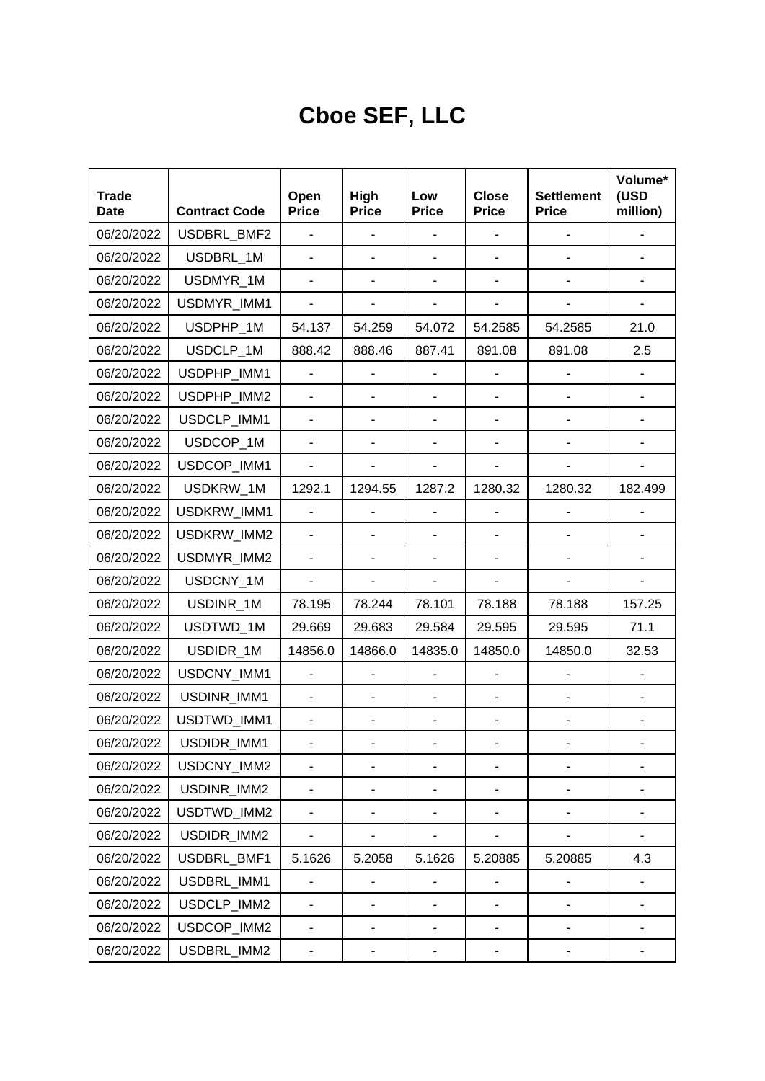## **Cboe SEF, LLC**

| <b>Trade</b><br>Date | <b>Contract Code</b> | Open<br><b>Price</b>         | High<br><b>Price</b>         | Low<br><b>Price</b>      | <b>Close</b><br><b>Price</b> | <b>Settlement</b><br><b>Price</b> | Volume*<br>(USD<br>million) |
|----------------------|----------------------|------------------------------|------------------------------|--------------------------|------------------------------|-----------------------------------|-----------------------------|
| 06/20/2022           | USDBRL_BMF2          | $\overline{a}$               | $\overline{a}$               |                          |                              |                                   |                             |
| 06/20/2022           | USDBRL_1M            |                              | $\blacksquare$               |                          |                              |                                   |                             |
| 06/20/2022           | USDMYR_1M            |                              | $\overline{\phantom{0}}$     |                          |                              | $\overline{\phantom{0}}$          |                             |
| 06/20/2022           | USDMYR_IMM1          |                              | $\blacksquare$               |                          |                              |                                   |                             |
| 06/20/2022           | USDPHP_1M            | 54.137                       | 54.259                       | 54.072                   | 54.2585                      | 54.2585                           | 21.0                        |
| 06/20/2022           | USDCLP_1M            | 888.42                       | 888.46                       | 887.41                   | 891.08                       | 891.08                            | 2.5                         |
| 06/20/2022           | USDPHP_IMM1          |                              |                              |                          |                              |                                   |                             |
| 06/20/2022           | USDPHP_IMM2          |                              | ÷,                           |                          |                              |                                   |                             |
| 06/20/2022           | USDCLP_IMM1          | ÷.                           | $\blacksquare$               |                          |                              | $\overline{a}$                    |                             |
| 06/20/2022           | USDCOP_1M            | $\overline{\phantom{a}}$     | ÷,                           | $\overline{\phantom{0}}$ |                              |                                   |                             |
| 06/20/2022           | USDCOP IMM1          | $\overline{\phantom{a}}$     |                              |                          |                              |                                   |                             |
| 06/20/2022           | USDKRW_1M            | 1292.1                       | 1294.55                      | 1287.2                   | 1280.32                      | 1280.32                           | 182.499                     |
| 06/20/2022           | USDKRW_IMM1          |                              | ÷,                           |                          |                              |                                   |                             |
| 06/20/2022           | USDKRW_IMM2          |                              | ÷,                           |                          |                              |                                   |                             |
| 06/20/2022           | USDMYR_IMM2          |                              | $\blacksquare$               |                          |                              |                                   |                             |
| 06/20/2022           | USDCNY_1M            | $\overline{\phantom{a}}$     | $\overline{a}$               |                          |                              |                                   |                             |
| 06/20/2022           | USDINR_1M            | 78.195                       | 78.244                       | 78.101                   | 78.188                       | 78.188                            | 157.25                      |
| 06/20/2022           | USDTWD_1M            | 29.669                       | 29.683                       | 29.584                   | 29.595                       | 29.595                            | 71.1                        |
| 06/20/2022           | USDIDR_1M            | 14856.0                      | 14866.0                      | 14835.0                  | 14850.0                      | 14850.0                           | 32.53                       |
| 06/20/2022           | USDCNY_IMM1          |                              |                              |                          |                              |                                   |                             |
| 06/20/2022           | USDINR_IMM1          | ÷,                           | $\blacksquare$               |                          |                              | $\overline{\phantom{a}}$          |                             |
| 06/20/2022           | USDTWD IMM1          | $\overline{\phantom{a}}$     | $\blacksquare$               | $\blacksquare$           |                              | $\overline{\phantom{a}}$          |                             |
| 06/20/2022           | USDIDR_IMM1          |                              |                              |                          |                              |                                   |                             |
| 06/20/2022           | USDCNY_IMM2          |                              |                              |                          |                              |                                   |                             |
| 06/20/2022           | USDINR IMM2          |                              |                              |                          |                              |                                   |                             |
| 06/20/2022           | USDTWD_IMM2          |                              |                              |                          |                              |                                   |                             |
| 06/20/2022           | USDIDR_IMM2          | $\qquad \qquad \blacksquare$ | $\qquad \qquad \blacksquare$ |                          |                              |                                   |                             |
| 06/20/2022           | USDBRL_BMF1          | 5.1626                       | 5.2058                       | 5.1626                   | 5.20885                      | 5.20885                           | 4.3                         |
| 06/20/2022           | USDBRL IMM1          |                              | $\blacksquare$               |                          |                              |                                   |                             |
| 06/20/2022           | USDCLP_IMM2          |                              |                              |                          |                              |                                   |                             |
| 06/20/2022           | USDCOP_IMM2          |                              |                              |                          |                              |                                   |                             |
| 06/20/2022           | USDBRL_IMM2          |                              |                              |                          |                              |                                   |                             |